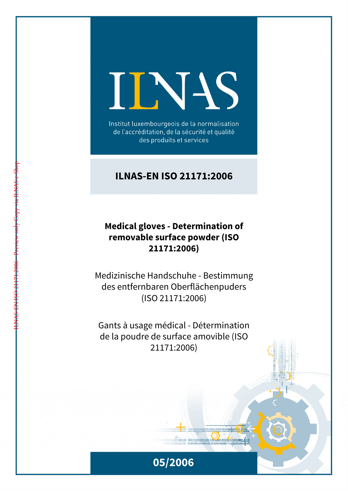# INS

Institut luxembourgeois de la normalisation de l'accréditation, de la sécurité et qualité des produits et services

# **ILNAS-EN ISO 21171:2006**

# **Medical gloves - Determination of removable surface powder (ISO 21171:2006)**

Medizinische Handschuhe - Bestimmung des entfernbaren Oberflächenpuders (ISO 21171:2006)

Gants à usage médical - Détermination de la poudre de surface amovible (ISO 21171:2006)



 $1011010010 00110100101101001001101001111$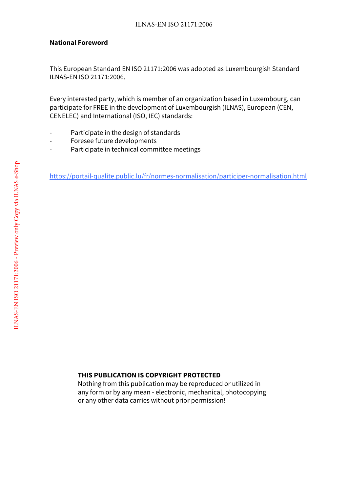#### **National Foreword**

This European Standard EN ISO 21171:2006 was adopted as Luxembourgish Standard ILNAS-EN ISO 21171:2006.

Every interested party, which is member of an organization based in Luxembourg, can participate for FREE in the development of Luxembourgish (ILNAS), European (CEN, CENELEC) and International (ISO, IEC) standards:

- Participate in the design of standards
- Foresee future developments
- Participate in technical committee meetings

https://portail-qualite.public.lu/fr/normes-normalisation/participer-normalisation.html

## **THIS PUBLICATION IS COPYRIGHT PROTECTED**

Nothing from this publication may be reproduced or utilized in any form or by any mean - electronic, mechanical, photocopying or any other data carries without prior permission!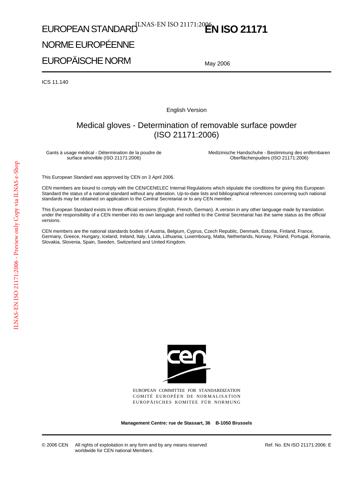# EUROPEAN STANDARD<sup>ILNAS-EN ISO 21171:2006</sup>N ISO 21171

# NORME EUROPÉENNE

EUROPÄISCHE NORM

May 2006

ICS 11.140

English Version

# Medical gloves - Determination of removable surface powder (ISO 21171:2006)

Gants à usage médical - Détermination de la poudre de surface amovible (ISO 21171:2006)

Medizinische Handschuhe - Bestimmung des entfernbaren Oberflächenpuders (ISO 21171:2006)

This European Standard was approved by CEN on 3 April 2006.

CEN members are bound to comply with the CEN/CENELEC Internal Regulations which stipulate the conditions for giving this European Standard the status of a national standard without any alteration. Up-to-date lists and bibliographical references concerning such national standards may be obtained on application to the Central Secretariat or to any CEN member.

This European Standard exists in three official versions (English, French, German). A version in any other language made by translation under the responsibility of a CEN member into its own language and notified to the Central Secretariat has the same status as the official versions.

CEN members are the national standards bodies of Austria, Belgium, Cyprus, Czech Republic, Denmark, Estonia, Finland, France, Germany, Greece, Hungary, Iceland, Ireland, Italy, Latvia, Lithuania, Luxembourg, Malta, Netherlands, Norway, Poland, Portugal, Romania, Slovakia, Slovenia, Spain, Sweden, Switzerland and United Kingdom.



EUROPEAN COMMITTEE FOR STANDARDIZATION COMITÉ EUROPÉEN DE NORMALISATION EUROPÄISCHES KOMITEE FÜR NORMUNG

**Management Centre: rue de Stassart, 36 B-1050 Brussels**

© 2006 CEN All rights of exploitation in any form and by any means reserved worldwide for CEN national Members.

Ref. No. EN ISO 21171:2006: E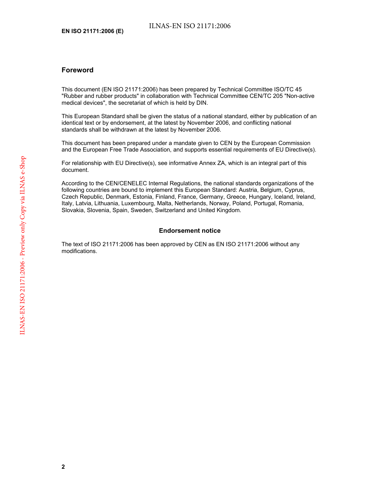#### **Foreword**

This document (EN ISO 21171:2006) has been prepared by Technical Committee ISO/TC 45 "Rubber and rubber products" in collaboration with Technical Committee CEN/TC 205 "Non-active medical devices", the secretariat of which is held by DIN.

This European Standard shall be given the status of a national standard, either by publication of an identical text or by endorsement, at the latest by November 2006, and conflicting national standards shall be withdrawn at the latest by November 2006.

This document has been prepared under a mandate given to CEN by the European Commission and the European Free Trade Association, and supports essential requirements of EU Directive(s).

For relationship with EU Directive(s), see informative Annex ZA, which is an integral part of this document.

According to the CEN/CENELEC Internal Regulations, the national standards organizations of the following countries are bound to implement this European Standard: Austria, Belgium, Cyprus, Czech Republic, Denmark, Estonia, Finland, France, Germany, Greece, Hungary, Iceland, Ireland, Italy, Latvia, Lithuania, Luxembourg, Malta, Netherlands, Norway, Poland, Portugal, Romania, Slovakia, Slovenia, Spain, Sweden, Switzerland and United Kingdom.

#### **Endorsement notice**

The text of ISO 21171:2006 has been approved by CEN as EN ISO 21171:2006 without any modifications.